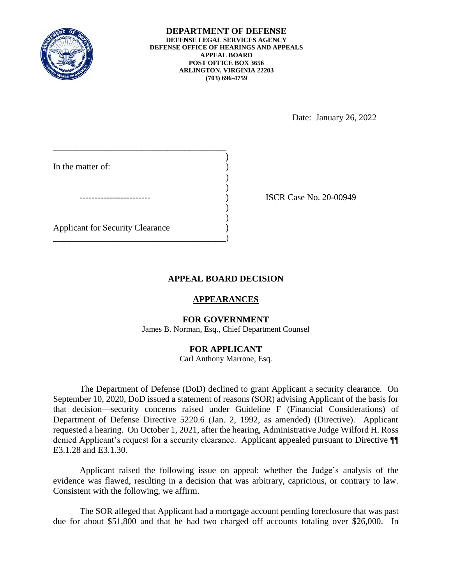

**DEPARTMENT OF DEFENSE DEFENSE LEGAL SERVICES AGENCY DEFENSE OFFICE OF HEARINGS AND APPEALS APPEAL BOARD POST OFFICE BOX 3656 ARLINGTON, VIRGINIA 22203 (703) 696-4759** 

Date: January 26, 2022

| In the matter of:                       |  |
|-----------------------------------------|--|
|                                         |  |
|                                         |  |
|                                         |  |
|                                         |  |
| <b>Applicant for Security Clearance</b> |  |
|                                         |  |

ISCR Case No. 20-00949

## **APPEAL BOARD DECISION**

### **APPEARANCES**

### **FOR GOVERNMENT**

James B. Norman, Esq., Chief Department Counsel

## **FOR APPLICANT**

Carl Anthony Marrone, Esq.

 The Department of Defense (DoD) declined to grant Applicant a security clearance. On September 10, 2020, DoD issued a statement of reasons (SOR) advising Applicant of the basis for that decision—security concerns raised under Guideline F (Financial Considerations) of Department of Defense Directive 5220.6 (Jan. 2, 1992, as amended) (Directive). Applicant requested a hearing. On October 1, 2021, after the hearing, Administrative Judge Wilford H. Ross denied Applicant's request for a security clearance. Applicant appealed pursuant to Directive ¶¶ E3.1.28 and E3.1.30.

 Applicant raised the following issue on appeal: whether the Judge's analysis of the evidence was flawed, resulting in a decision that was arbitrary, capricious, or contrary to law. Consistent with the following, we affirm.

 The SOR alleged that Applicant had a mortgage account pending foreclosure that was past due for about \$51,800 and that he had two charged off accounts totaling over \$26,000. In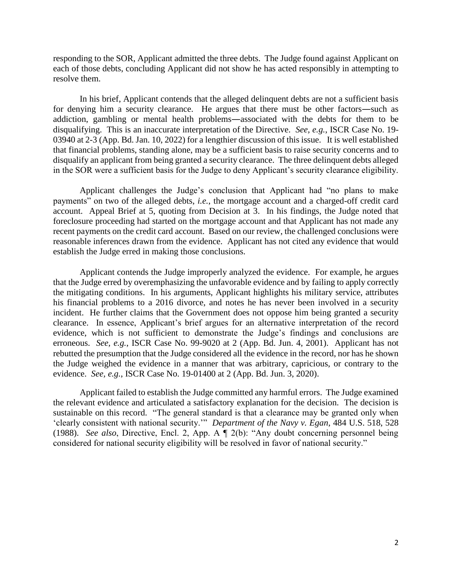responding to the SOR, Applicant admitted the three debts. The Judge found against Applicant on each of those debts, concluding Applicant did not show he has acted responsibly in attempting to resolve them.

 In his brief, Applicant contends that the alleged delinquent debts are not a sufficient basis for denying him a security clearance. He argues that there must be other factors―such as disqualifying. This is an inaccurate interpretation of the Directive. *See, e.g.*, ISCR Case No. 19- 03940 at 2-3 (App. Bd. Jan. 10, 2022) for a lengthier discussion of this issue. It is well established disqualify an applicant from being granted a security clearance. The three delinquent debts alleged in the SOR were a sufficient basis for the Judge to deny Applicant's security clearance eligibility. addiction, gambling or mental health problems―associated with the debts for them to be that financial problems, standing alone, may be a sufficient basis to raise security concerns and to

 payments" on two of the alleged debts, *i.e.*, the mortgage account and a charged-off credit card foreclosure proceeding had started on the mortgage account and that Applicant has not made any recent payments on the credit card account. Based on our review, the challenged conclusions were reasonable inferences drawn from the evidence. Applicant has not cited any evidence that would Applicant challenges the Judge's conclusion that Applicant had "no plans to make account. Appeal Brief at 5, quoting from Decision at 3. In his findings, the Judge noted that establish the Judge erred in making those conclusions.

 that the Judge erred by overemphasizing the unfavorable evidence and by failing to apply correctly the mitigating conditions. In his arguments, Applicant highlights his military service, attributes his financial problems to a 2016 divorce, and notes he has never been involved in a security incident. He further claims that the Government does not oppose him being granted a security clearance. In essence, Applicant's brief argues for an alternative interpretation of the record erroneous. *See, e.g.*, ISCR Case No. 99-9020 at 2 (App. Bd. Jun. 4, 2001). Applicant has not rebutted the presumption that the Judge considered all the evidence in the record, nor has he shown the Judge weighed the evidence in a manner that was arbitrary, capricious, or contrary to the Applicant contends the Judge improperly analyzed the evidence. For example, he argues evidence, which is not sufficient to demonstrate the Judge's findings and conclusions are evidence. *See, e.g.*, ISCR Case No. 19-01400 at 2 (App. Bd. Jun. 3, 2020).

 Applicant failed to establish the Judge committed any harmful errors. The Judge examined the relevant evidence and articulated a satisfactory explanation for the decision. The decision is sustainable on this record. "The general standard is that a clearance may be granted only when 'clearly consistent with national security.'" *Department of the Navy v. Egan*, 484 U.S. 518, 528 (1988). *See also*, Directive, Encl. 2, App. A ¶ 2(b): "Any doubt concerning personnel being considered for national security eligibility will be resolved in favor of national security."